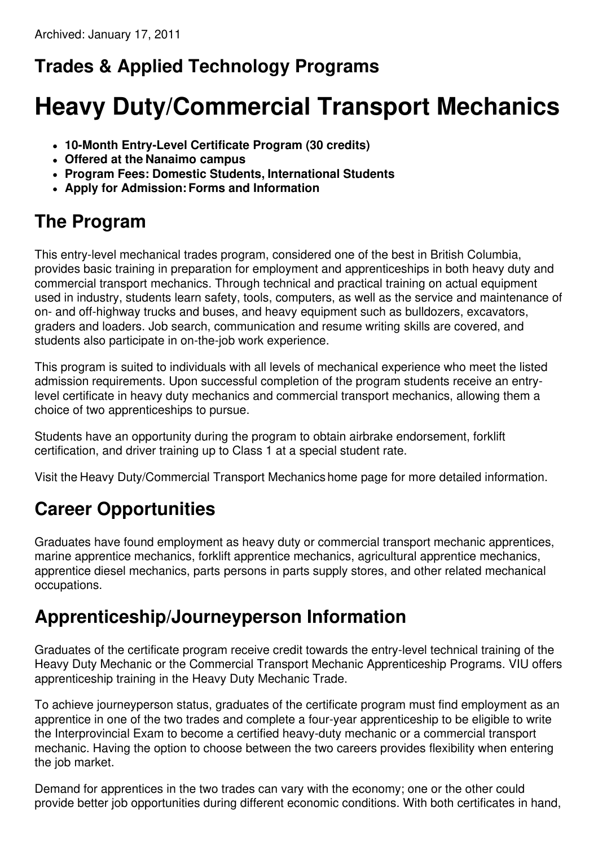# **Trades & Applied Technology Programs**

# **Heavy Duty/Commercial Transport Mechanics**

- **10-Month Entry-Level Certificate Program (30 credits)**
- **Offered at the Nanaimo campus**
- **Program Fees: Domestic Students, International Students**
- **Apply for Admission:Forms and Information**

# **The Program**

This entry-level mechanical trades program, considered one of the best in British Columbia, provides basic training in preparation for employment and apprenticeships in both heavy duty and commercial transport mechanics. Through technical and practical training on actual equipment used in industry, students learn safety, tools, computers, as well as the service and maintenance of on- and off-highway trucks and buses, and heavy equipment such as bulldozers, excavators, graders and loaders. Job search, communication and resume writing skills are covered, and students also participate in on-the-job work experience.

This program is suited to individuals with all levels of mechanical experience who meet the listed admission requirements. Upon successful completion of the program students receive an entrylevel certificate in heavy duty mechanics and commercial transport mechanics, allowing them a choice of two apprenticeships to pursue.

Students have an opportunity during the program to obtain airbrake endorsement, forklift certification, and driver training up to Class 1 at a special student rate.

Visit the Heavy Duty/Commercial Transport Mechanics home page for more detailed information.

# **Career Opportunities**

Graduates have found employment as heavy duty or commercial transport mechanic apprentices, marine apprentice mechanics, forklift apprentice mechanics, agricultural apprentice mechanics, apprentice diesel mechanics, parts persons in parts supply stores, and other related mechanical occupations.

#### **Apprenticeship/Journeyperson Information**

Graduates of the certificate program receive credit towards the entry-level technical training of the Heavy Duty Mechanic or the Commercial Transport Mechanic Apprenticeship Programs. VIU offers apprenticeship training in the Heavy Duty Mechanic Trade.

To achieve journeyperson status, graduates of the certificate program must find employment as an apprentice in one of the two trades and complete a four-year apprenticeship to be eligible to write the Interprovincial Exam to become a certified heavy-duty mechanic or a commercial transport mechanic. Having the option to choose between the two careers provides flexibility when entering the job market.

Demand for apprentices in the two trades can vary with the economy; one or the other could provide better job opportunities during different economic conditions. With both certificates in hand,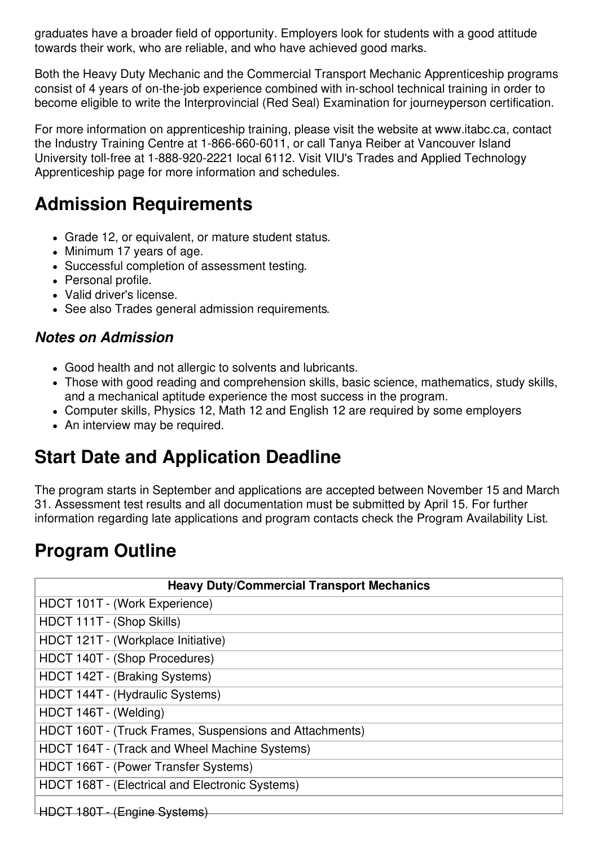graduates have a broader field of opportunity. Employers look for students with a good attitude towards their work, who are reliable, and who have achieved good marks.

Both the Heavy Duty Mechanic and the Commercial Transport Mechanic Apprenticeship programs consist of 4 years of on-the-job experience combined with in-school technical training in order to become eligible to write the Interprovincial (Red Seal) Examination for journeyperson certification.

For more information on apprenticeship training, please visit the website at www.itabc.ca, contact the Industry Training Centre at 1-866-660-6011, or call Tanya Reiber at Vancouver Island University toll-free at 1-888-920-2221 local 6112. Visit VIU's Trades and Applied Technology Apprenticeship page for more information and schedules.

### **Admission Requirements**

- Grade 12, or equivalent, or mature student status.
- Minimum 17 years of age.
- Successful completion of assessment testing.
- Personal profile.
- Valid driver's license.
- See also Trades general admission requirements.

#### *Notes on Admission*

- Good health and not allergic to solvents and lubricants.
- Those with good reading and comprehension skills, basic science, mathematics, study skills, and a mechanical aptitude experience the most success in the program.
- Computer skills, Physics 12, Math 12 and English 12 are required by some employers
- An interview may be required.

# **Start Date and Application Deadline**

The program starts in September and applications are accepted between November 15 and March 31. Assessment test results and all documentation must be submitted by April 15. For further information regarding late applications and program contacts check the Program Availability List.

# **Program Outline**

| <b>Heavy Duty/Commercial Transport Mechanics</b>        |
|---------------------------------------------------------|
| HDCT 101T - (Work Experience)                           |
| HDCT 111T - (Shop Skills)                               |
| HDCT 121T - (Workplace Initiative)                      |
| HDCT 140T - (Shop Procedures)                           |
| HDCT 142T - (Braking Systems)                           |
| HDCT 144T - (Hydraulic Systems)                         |
| HDCT 146T - (Welding)                                   |
| HDCT 160T - (Truck Frames, Suspensions and Attachments) |
| HDCT 164T - (Track and Wheel Machine Systems)           |
| HDCT 166T - (Power Transfer Systems)                    |
| HDCT 168T - (Electrical and Electronic Systems)         |
| HDCT 180T - (Engine Systems)                            |